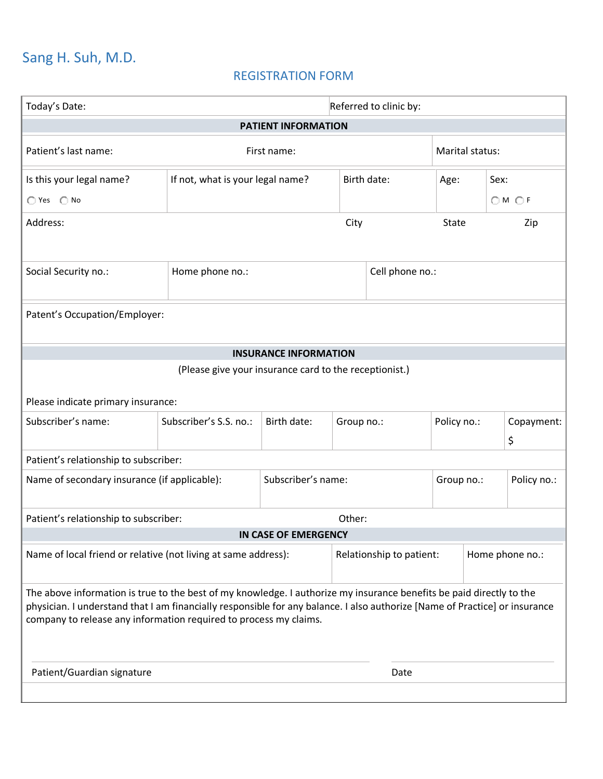# Sang H. Suh, M.D.

## REGISTRATION FORM

| <b>PATIENT INFORMATION</b><br>Patient's last name:<br>Marital status:<br>First name:<br>Birth date:<br>Is this your legal name?<br>If not, what is your legal name?<br>Sex:<br>Age:<br>◯ Yes ◯ No<br>OMOF<br>Address:<br>City<br><b>State</b><br>Zip<br>Home phone no.:<br>Cell phone no.:<br>Social Security no.:<br>Patent's Occupation/Employer:<br><b>INSURANCE INFORMATION</b><br>(Please give your insurance card to the receptionist.)<br>Please indicate primary insurance:<br>Subscriber's name:<br>Subscriber's S.S. no.:<br>Policy no.:<br>Birth date:<br>Group no.:<br>\$<br>Patient's relationship to subscriber:<br>Subscriber's name:<br>Name of secondary insurance (if applicable):<br>Policy no.:<br>Group no.:<br>Patient's relationship to subscriber:<br>Other:<br>IN CASE OF EMERGENCY<br>Name of local friend or relative (not living at same address):<br>Relationship to patient:<br>Home phone no.:<br>The above information is true to the best of my knowledge. I authorize my insurance benefits be paid directly to the<br>physician. I understand that I am financially responsible for any balance. I also authorize [Name of Practice] or insurance<br>company to release any information required to process my claims.<br>Patient/Guardian signature<br>Date | Today's Date: |  | Referred to clinic by: |  |  |  |  |            |  |  |
|-------------------------------------------------------------------------------------------------------------------------------------------------------------------------------------------------------------------------------------------------------------------------------------------------------------------------------------------------------------------------------------------------------------------------------------------------------------------------------------------------------------------------------------------------------------------------------------------------------------------------------------------------------------------------------------------------------------------------------------------------------------------------------------------------------------------------------------------------------------------------------------------------------------------------------------------------------------------------------------------------------------------------------------------------------------------------------------------------------------------------------------------------------------------------------------------------------------------------------------------------------------------------------------------------|---------------|--|------------------------|--|--|--|--|------------|--|--|
|                                                                                                                                                                                                                                                                                                                                                                                                                                                                                                                                                                                                                                                                                                                                                                                                                                                                                                                                                                                                                                                                                                                                                                                                                                                                                                 |               |  |                        |  |  |  |  |            |  |  |
|                                                                                                                                                                                                                                                                                                                                                                                                                                                                                                                                                                                                                                                                                                                                                                                                                                                                                                                                                                                                                                                                                                                                                                                                                                                                                                 |               |  |                        |  |  |  |  |            |  |  |
|                                                                                                                                                                                                                                                                                                                                                                                                                                                                                                                                                                                                                                                                                                                                                                                                                                                                                                                                                                                                                                                                                                                                                                                                                                                                                                 |               |  |                        |  |  |  |  |            |  |  |
|                                                                                                                                                                                                                                                                                                                                                                                                                                                                                                                                                                                                                                                                                                                                                                                                                                                                                                                                                                                                                                                                                                                                                                                                                                                                                                 |               |  |                        |  |  |  |  |            |  |  |
|                                                                                                                                                                                                                                                                                                                                                                                                                                                                                                                                                                                                                                                                                                                                                                                                                                                                                                                                                                                                                                                                                                                                                                                                                                                                                                 |               |  |                        |  |  |  |  |            |  |  |
|                                                                                                                                                                                                                                                                                                                                                                                                                                                                                                                                                                                                                                                                                                                                                                                                                                                                                                                                                                                                                                                                                                                                                                                                                                                                                                 |               |  |                        |  |  |  |  |            |  |  |
|                                                                                                                                                                                                                                                                                                                                                                                                                                                                                                                                                                                                                                                                                                                                                                                                                                                                                                                                                                                                                                                                                                                                                                                                                                                                                                 |               |  |                        |  |  |  |  |            |  |  |
|                                                                                                                                                                                                                                                                                                                                                                                                                                                                                                                                                                                                                                                                                                                                                                                                                                                                                                                                                                                                                                                                                                                                                                                                                                                                                                 |               |  |                        |  |  |  |  |            |  |  |
|                                                                                                                                                                                                                                                                                                                                                                                                                                                                                                                                                                                                                                                                                                                                                                                                                                                                                                                                                                                                                                                                                                                                                                                                                                                                                                 |               |  |                        |  |  |  |  |            |  |  |
|                                                                                                                                                                                                                                                                                                                                                                                                                                                                                                                                                                                                                                                                                                                                                                                                                                                                                                                                                                                                                                                                                                                                                                                                                                                                                                 |               |  |                        |  |  |  |  |            |  |  |
|                                                                                                                                                                                                                                                                                                                                                                                                                                                                                                                                                                                                                                                                                                                                                                                                                                                                                                                                                                                                                                                                                                                                                                                                                                                                                                 |               |  |                        |  |  |  |  |            |  |  |
|                                                                                                                                                                                                                                                                                                                                                                                                                                                                                                                                                                                                                                                                                                                                                                                                                                                                                                                                                                                                                                                                                                                                                                                                                                                                                                 |               |  |                        |  |  |  |  | Copayment: |  |  |
|                                                                                                                                                                                                                                                                                                                                                                                                                                                                                                                                                                                                                                                                                                                                                                                                                                                                                                                                                                                                                                                                                                                                                                                                                                                                                                 |               |  |                        |  |  |  |  |            |  |  |
|                                                                                                                                                                                                                                                                                                                                                                                                                                                                                                                                                                                                                                                                                                                                                                                                                                                                                                                                                                                                                                                                                                                                                                                                                                                                                                 |               |  |                        |  |  |  |  |            |  |  |
|                                                                                                                                                                                                                                                                                                                                                                                                                                                                                                                                                                                                                                                                                                                                                                                                                                                                                                                                                                                                                                                                                                                                                                                                                                                                                                 |               |  |                        |  |  |  |  |            |  |  |
|                                                                                                                                                                                                                                                                                                                                                                                                                                                                                                                                                                                                                                                                                                                                                                                                                                                                                                                                                                                                                                                                                                                                                                                                                                                                                                 |               |  |                        |  |  |  |  |            |  |  |
|                                                                                                                                                                                                                                                                                                                                                                                                                                                                                                                                                                                                                                                                                                                                                                                                                                                                                                                                                                                                                                                                                                                                                                                                                                                                                                 |               |  |                        |  |  |  |  |            |  |  |
|                                                                                                                                                                                                                                                                                                                                                                                                                                                                                                                                                                                                                                                                                                                                                                                                                                                                                                                                                                                                                                                                                                                                                                                                                                                                                                 |               |  |                        |  |  |  |  |            |  |  |
|                                                                                                                                                                                                                                                                                                                                                                                                                                                                                                                                                                                                                                                                                                                                                                                                                                                                                                                                                                                                                                                                                                                                                                                                                                                                                                 |               |  |                        |  |  |  |  |            |  |  |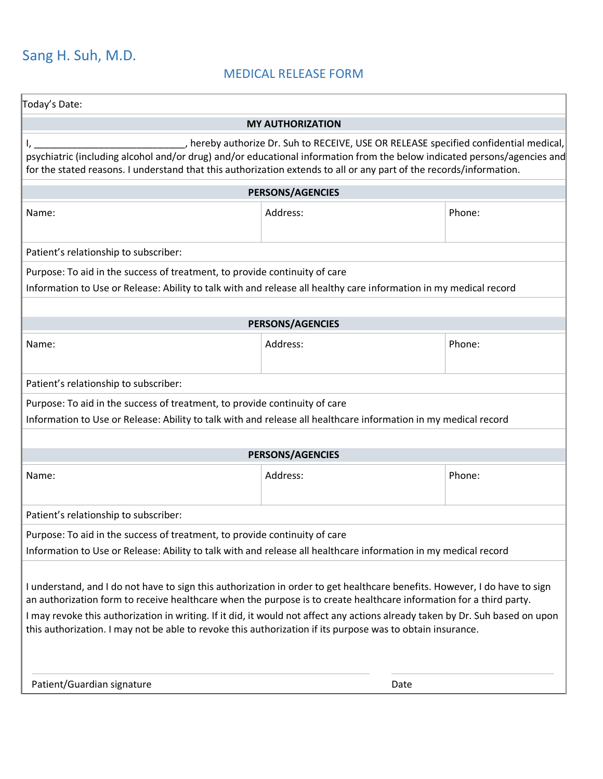# Sang H. Suh, M.D.

## MEDICAL RELEASE FORM

| Today's Date:                                                                                                                                                                                                                                                                                                                                                                                                                                                                                                                          |                         |        |  |  |  |  |  |
|----------------------------------------------------------------------------------------------------------------------------------------------------------------------------------------------------------------------------------------------------------------------------------------------------------------------------------------------------------------------------------------------------------------------------------------------------------------------------------------------------------------------------------------|-------------------------|--------|--|--|--|--|--|
| <b>MY AUTHORIZATION</b>                                                                                                                                                                                                                                                                                                                                                                                                                                                                                                                |                         |        |  |  |  |  |  |
| _, hereby authorize Dr. Suh to RECEIVE, USE OR RELEASE specified confidential medical,<br>psychiatric (including alcohol and/or drug) and/or educational information from the below indicated persons/agencies and<br>for the stated reasons. I understand that this authorization extends to all or any part of the records/information.                                                                                                                                                                                              |                         |        |  |  |  |  |  |
|                                                                                                                                                                                                                                                                                                                                                                                                                                                                                                                                        | <b>PERSONS/AGENCIES</b> |        |  |  |  |  |  |
| Name:                                                                                                                                                                                                                                                                                                                                                                                                                                                                                                                                  | Address:                | Phone: |  |  |  |  |  |
| Patient's relationship to subscriber:                                                                                                                                                                                                                                                                                                                                                                                                                                                                                                  |                         |        |  |  |  |  |  |
| Purpose: To aid in the success of treatment, to provide continuity of care<br>Information to Use or Release: Ability to talk with and release all healthy care information in my medical record                                                                                                                                                                                                                                                                                                                                        |                         |        |  |  |  |  |  |
| <b>PERSONS/AGENCIES</b>                                                                                                                                                                                                                                                                                                                                                                                                                                                                                                                |                         |        |  |  |  |  |  |
| Name:                                                                                                                                                                                                                                                                                                                                                                                                                                                                                                                                  | Address:                | Phone: |  |  |  |  |  |
| Patient's relationship to subscriber:                                                                                                                                                                                                                                                                                                                                                                                                                                                                                                  |                         |        |  |  |  |  |  |
| Purpose: To aid in the success of treatment, to provide continuity of care<br>Information to Use or Release: Ability to talk with and release all healthcare information in my medical record                                                                                                                                                                                                                                                                                                                                          |                         |        |  |  |  |  |  |
|                                                                                                                                                                                                                                                                                                                                                                                                                                                                                                                                        | <b>PERSONS/AGENCIES</b> |        |  |  |  |  |  |
| Name:                                                                                                                                                                                                                                                                                                                                                                                                                                                                                                                                  | Address:                | Phone: |  |  |  |  |  |
| Patient's relationship to subscriber:                                                                                                                                                                                                                                                                                                                                                                                                                                                                                                  |                         |        |  |  |  |  |  |
| Purpose: To aid in the success of treatment, to provide continuity of care<br>Information to Use or Release: Ability to talk with and release all healthcare information in my medical record                                                                                                                                                                                                                                                                                                                                          |                         |        |  |  |  |  |  |
| I understand, and I do not have to sign this authorization in order to get healthcare benefits. However, I do have to sign<br>an authorization form to receive healthcare when the purpose is to create healthcare information for a third party.<br>I may revoke this authorization in writing. If it did, it would not affect any actions already taken by Dr. Suh based on upon<br>this authorization. I may not be able to revoke this authorization if its purpose was to obtain insurance.<br>Patient/Guardian signature<br>Date |                         |        |  |  |  |  |  |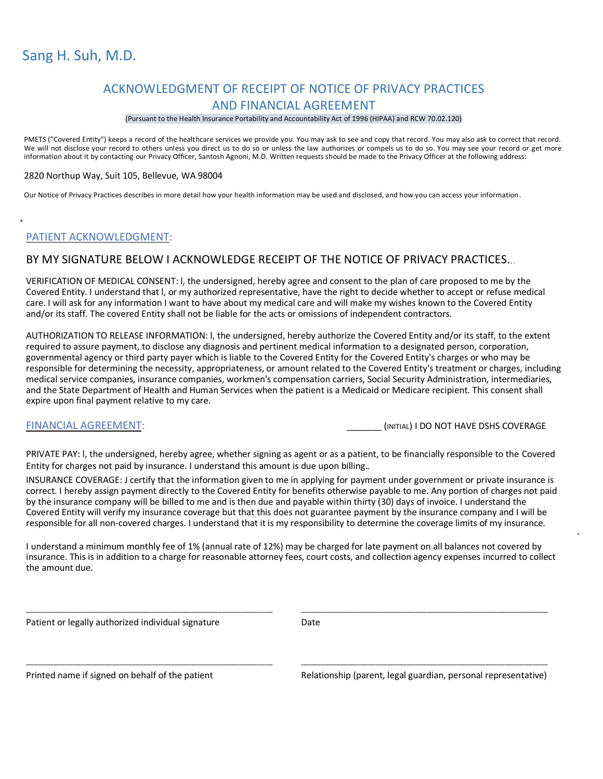# Sang H. Suh, M.D.

## ACKNOWLEDGMENT OF RECEIPT OF NOTICE OF PRIVACY PRACTICES AND FINANCIAL AGREEMENT

### (Pursuant to the Health Insurance Portability and Accountability Act of 1996 (HIPAA) and RCW 70.02.120)

PMETS ("Covered Entity") keeps a record of the healthcare services we provide you. You may ask to see and copy that record. You may also ask to correct that record. We will not disclose your record to others unless you direct us to do so or unless the law authorizes or compels us to do so. You may see your record or get more information about it by contacting our Privacy Officer, Santosh Agnoni, M.D. Written requests should be made to the Privacy Officer at the following address:

### 2820 Northup Way, Suit 105, Bellevue, WA 98004

Our Notice of Privacy Practices describes in more detail how your health information may be used and disclosed, and how you can access your information.

### PATIENT ACKNOWLEDGMENT:

### BY MY SIGNATURE BELOW I ACKNOWLEDGE RECEIPT OF THE NOTICE OF PRIVACY PRACTICES...

VERIFICATION OF MEDICAL CONSENT: l, the undersigned, hereby agree and consent to the plan of care proposed to me by the Covered Entity. I understand that l, or my authorized representative, have the right to decide whether to accept or refuse medical care. I will ask for any information I want to have about my medical care and will make my wishes known to the Covered Entity and/or its staff. The covered Entity shall not be liable for the acts or omissions of independent contractors.

AUTHORIZATION TO RELEASE INFORMATION: l, the undersigned, hereby authorize the Covered Entity and/or its staff, to the extent required to assure payment, to disclose any diagnosis and pertinent medical information to a designated person, corporation, governmental agency or third party payer which is liable to the Covered Entity for the Covered Entity's charges or who may be responsible for determining the necessity, appropriateness, or amount related to the Covered Entity's treatment or charges, including medical service companies, insurance companies, workmen's compensation carriers, Social Security Administration, intermediaries, and the State Department of Health and Human Services when the patient is a Medicaid or Medicare recipient. This consent shall expire upon final payment relative to my care.

FINANCIAL AGREEMENT: THE STATE OF THE SERVICE OF THE SERVICE OF THE SERVICE OF THE SERVICE OF THE STATE OF THE SERVICE OF THE STATE OF THE STATE OF THE STATE OF THE STATE OF THE STATE OF THE STATE OF THE STATE OF THE STATE

PRIVATE PAY: l, the undersigned, hereby agree, whether signing as agent or as a patient, to be financially responsible to the Covered Entity for charges not paid by insurance. I understand this amount is due upon billing.

INSURANCE COVERAGE: J certify that the information given to me in applying for payment under government or private insurance is correct. I hereby assign payment directly to the Covered Entity for benefits otherwise payable to me. Any portion of charges not paid by the insurance company will be billed to me and is then due and payable within thirty (30) days of invoice. I understand the Covered Entity will verify my insurance coverage but that this does not guarantee payment by the insurance company and I will be responsible for all non-covered charges. I understand that it is my responsibility to determine the coverage limits of my insurance.

I understand a minimum monthly fee of 1% (annual rate of 12%) may be charged for late payment on all balances not covered by insurance. This is in addition to a charge for reasonable attorney fees, court costs, and collection agency expenses incurred to collect the amount due.

Patient or legally authorized individual signature

\_\_\_\_\_\_\_\_\_\_\_\_\_\_\_\_\_\_\_\_\_\_\_\_\_\_\_\_\_\_\_\_\_\_\_\_\_\_\_\_\_\_\_\_\_\_\_\_\_\_\_\_\_\_\_\_\_\_\_\_\_\_\_

\_\_\_\_\_\_\_\_\_\_\_\_\_\_\_\_\_\_\_\_\_\_\_\_\_\_\_\_\_\_\_\_\_\_\_\_\_\_\_\_\_\_\_\_\_\_\_\_\_\_\_\_\_\_\_\_\_\_\_\_\_\_\_

Date

Printed name if signed on behalf of the patient

\_\_\_\_\_\_\_\_\_\_\_\_\_\_\_\_\_\_\_\_\_\_\_\_\_\_\_\_\_\_\_\_\_\_\_\_\_\_\_\_\_\_\_\_\_\_\_\_\_\_\_\_\_\_\_\_\_\_\_\_\_\_\_ Relationship (parent, legal guardian, personal representative)

\_\_\_\_\_\_\_\_\_\_\_\_\_\_\_\_\_\_\_\_\_\_\_\_\_\_\_\_\_\_\_\_\_\_\_\_\_\_\_\_\_\_\_\_\_\_\_\_\_\_\_\_\_\_\_\_\_\_\_\_\_\_\_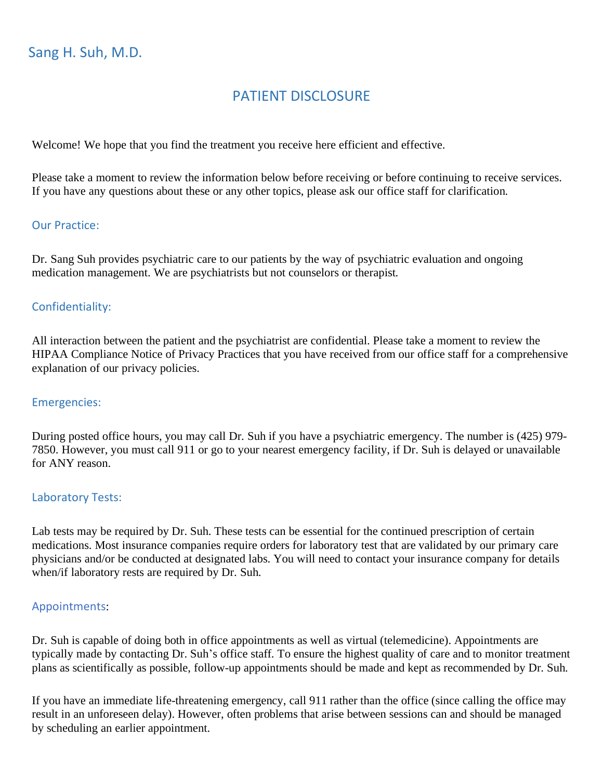# PATIENT DISCLOSURE

Welcome! We hope that you find the treatment you receive here efficient and effective.

Please take a moment to review the information below before receiving or before continuing to receive services. If you have any questions about these or any other topics, please ask our office staff for clarification.

### Our Practice:

Dr. Sang Suh provides psychiatric care to our patients by the way of psychiatric evaluation and ongoing medication management. We are psychiatrists but not counselors or therapist.

## Confidentiality:

All interaction between the patient and the psychiatrist are confidential. Please take a moment to review the HIPAA Compliance Notice of Privacy Practices that you have received from our office staff for a comprehensive explanation of our privacy policies.

### Emergencies:

During posted office hours, you may call Dr. Suh if you have a psychiatric emergency. The number is (425) 979- 7850. However, you must call 911 or go to your nearest emergency facility, if Dr. Suh is delayed or unavailable for ANY reason.

### Laboratory Tests:

Lab tests may be required by Dr. Suh. These tests can be essential for the continued prescription of certain medications. Most insurance companies require orders for laboratory test that are validated by our primary care physicians and/or be conducted at designated labs. You will need to contact your insurance company for details when/if laboratory rests are required by Dr. Suh.

### Appointments:

Dr. Suh is capable of doing both in office appointments as well as virtual (telemedicine). Appointments are typically made by contacting Dr. Suh's office staff. To ensure the highest quality of care and to monitor treatment plans as scientifically as possible, follow-up appointments should be made and kept as recommended by Dr. Suh.

If you have an immediate life-threatening emergency, call 911 rather than the office (since calling the office may result in an unforeseen delay). However, often problems that arise between sessions can and should be managed by scheduling an earlier appointment.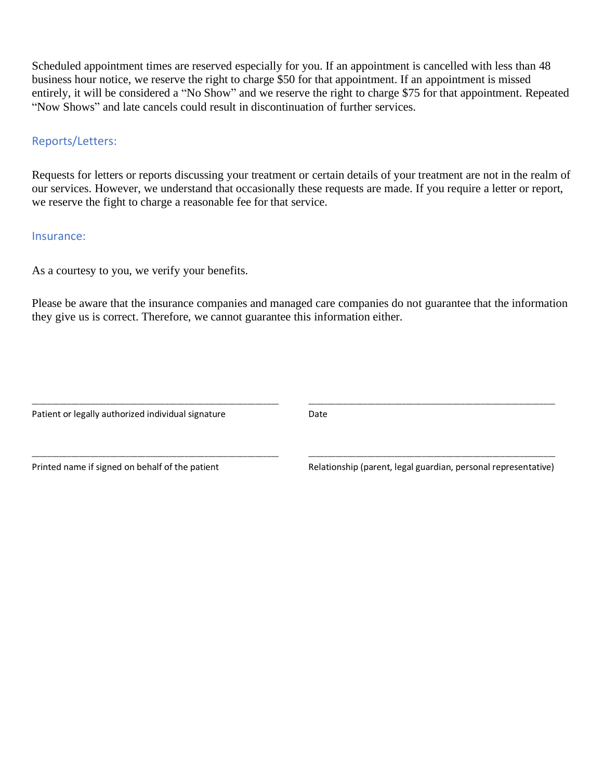Scheduled appointment times are reserved especially for you. If an appointment is cancelled with less than 48 business hour notice, we reserve the right to charge \$50 for that appointment. If an appointment is missed entirely, it will be considered a "No Show" and we reserve the right to charge \$75 for that appointment. Repeated "Now Shows" and late cancels could result in discontinuation of further services.

## Reports/Letters:

Requests for letters or reports discussing your treatment or certain details of your treatment are not in the realm of our services. However, we understand that occasionally these requests are made. If you require a letter or report, we reserve the fight to charge a reasonable fee for that service.

### Insurance:

As a courtesy to you, we verify your benefits.

Please be aware that the insurance companies and managed care companies do not guarantee that the information they give us is correct. Therefore, we cannot guarantee this information either.

Patient or legally authorized individual signature

\_\_\_\_\_\_\_\_\_\_\_\_\_\_\_\_\_\_\_\_\_\_\_\_\_\_\_\_\_\_\_\_\_\_\_\_\_\_\_\_\_\_\_\_\_\_\_\_\_\_\_\_\_\_\_\_\_\_\_\_\_\_\_

\_\_\_\_\_\_\_\_\_\_\_\_\_\_\_\_\_\_\_\_\_\_\_\_\_\_\_\_\_\_\_\_\_\_\_\_\_\_\_\_\_\_\_\_\_\_\_\_\_\_\_\_\_\_\_\_\_\_\_\_\_\_\_

Date

Printed name if signed on behalf of the patient

\_\_\_\_\_\_\_\_\_\_\_\_\_\_\_\_\_\_\_\_\_\_\_\_\_\_\_\_\_\_\_\_\_\_\_\_\_\_\_\_\_\_\_\_\_\_\_\_\_\_\_\_\_\_\_\_\_\_\_\_\_\_\_ Relationship (parent, legal guardian, personal representative)

\_\_\_\_\_\_\_\_\_\_\_\_\_\_\_\_\_\_\_\_\_\_\_\_\_\_\_\_\_\_\_\_\_\_\_\_\_\_\_\_\_\_\_\_\_\_\_\_\_\_\_\_\_\_\_\_\_\_\_\_\_\_\_